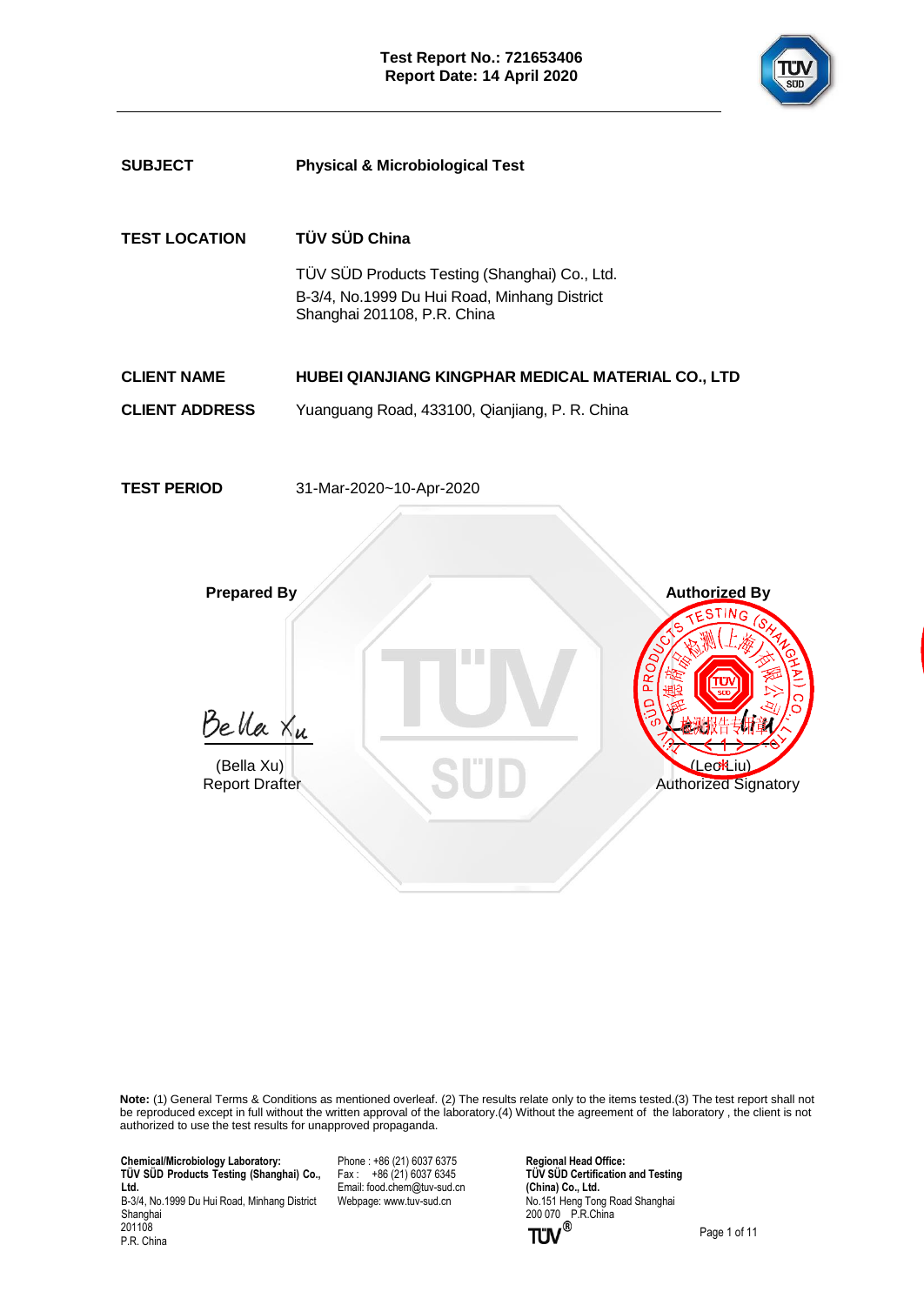



**Note:** (1) General Terms & Conditions as mentioned overleaf. (2) The results relate only to the items tested.(3) The test report shall not be reproduced except in full without the written approval of the laboratory.(4) Without the agreement of the laboratory , the client is not authorized to use the test results for unapproved propaganda.

 **Chemical/Microbiology Laboratory: TÜ V SÜ D Products Testing (Shanghai) Co., Ltd.** B-3/4, No.1999 Du Hui Road, Minhang District

Shanghai 201108 P.R. China Phone : +86 (21) 6037 6375  $Fax : +86(21)60376345$ Email[: food.chem@tuv-sud.cn](mailto:food.chem@tuv-sud.cn) Webpage[: www.tuv-sud.cn](http://www.tuv-sud.cn/)

**Regional Head Office: TÜV SÜD Certification and Testing (China) Co., Ltd.**  No.151 Heng Tong Road Shanghai 200 070 P.R.China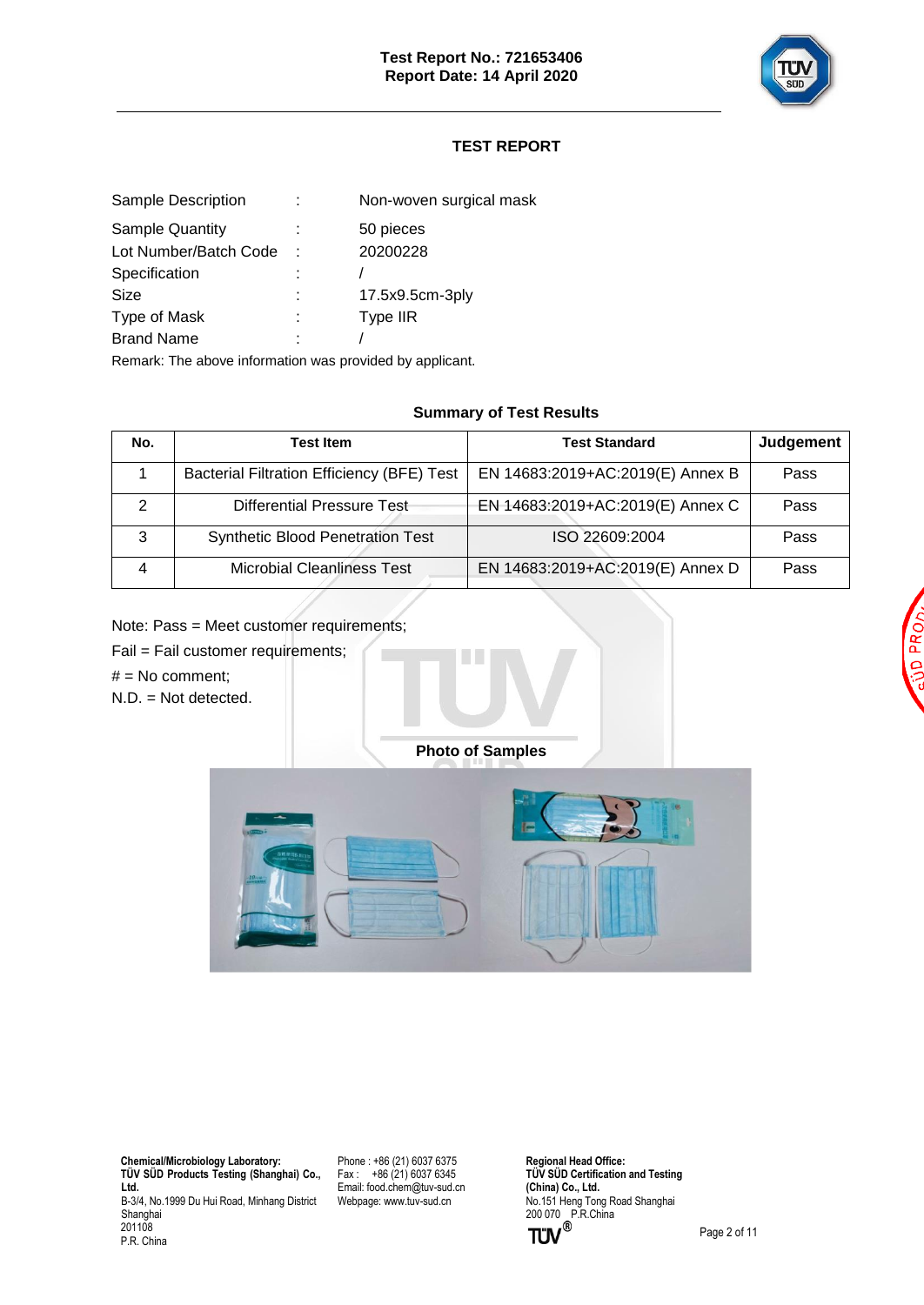

# **TEST REPORT**

| Non-woven surgical mask |
|-------------------------|
| 50 pieces               |
| 20200228                |
|                         |
| 17.5x9.5cm-3ply         |
| Type IIR                |
|                         |
|                         |

Remark: The above information was provided by applicant.

### **Summary of Test Results**

| No. | Test Item                                         | <b>Test Standard</b>             | Judgement |
|-----|---------------------------------------------------|----------------------------------|-----------|
|     | <b>Bacterial Filtration Efficiency (BFE) Test</b> | EN 14683:2019+AC:2019(E) Annex B | Pass      |
|     | Differential Pressure Test-                       | EN 14683:2019+AC:2019(E) Annex C | Pass      |
| 3   | <b>Synthetic Blood Penetration Test</b>           | ISO 22609:2004                   | Pass      |
|     | <b>Microbial Cleanliness Test</b>                 | EN 14683:2019+AC:2019(E) Annex D | Pass      |

Note: Pass = Meet customer requirements;

Fail = Fail customer requirements;

 $#$  = No comment;

N.D. = Not detected.

**Photo of Samples**



 **Chemical/Microbiology Laboratory: TÜ V SÜ D Products Testing (Shanghai) Co., Ltd.** B-3/4, No.1999 Du Hui Road, Minhang District Shanghai 201108 P.R. China

Phone : +86 (21) 6037 6375 Fax :  $+86(21)60376345$ Email[: food.chem@tuv-sud.cn](mailto:food.chem@tuv-sud.cn) Webpage[: www.tuv-sud.cn](http://www.tuv-sud.cn/)

**Regional Head Office: TÜV SÜD Certification and Testing (China) Co., Ltd.**  No.151 Heng Tong Road Shanghai 200 070 P.R.China

PR Ō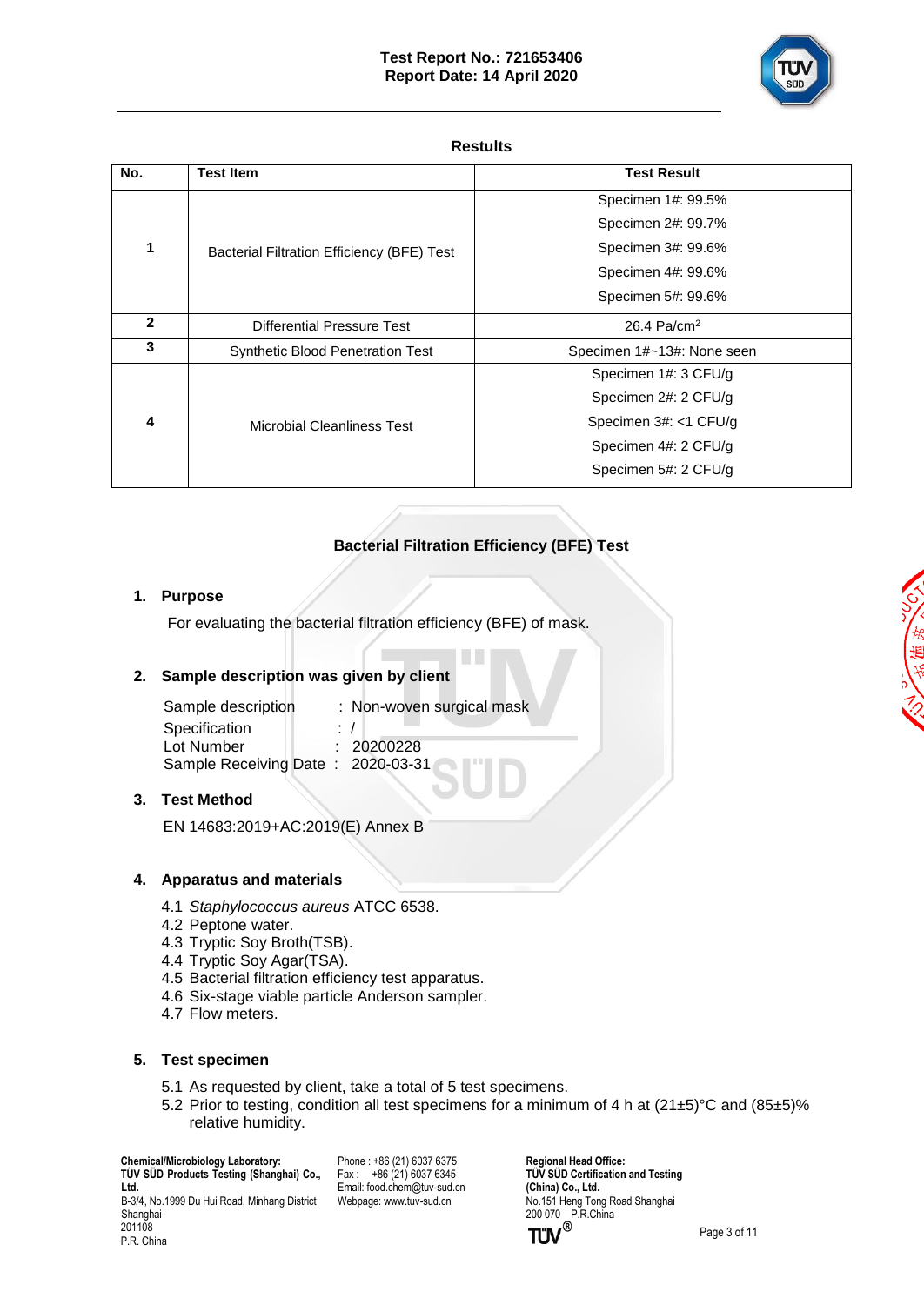

#### **Restults**

| No.          | <b>Test Item</b>                           | <b>Test Result</b>         |
|--------------|--------------------------------------------|----------------------------|
|              |                                            | Specimen 1#: 99.5%         |
|              |                                            | Specimen 2#: 99.7%         |
| 1            | Bacterial Filtration Efficiency (BFE) Test | Specimen 3#: 99.6%         |
|              |                                            | Specimen 4#: 99.6%         |
|              |                                            | Specimen 5#: 99.6%         |
| $\mathbf{c}$ | Differential Pressure Test                 | 26.4 Pa/cm <sup>2</sup>    |
| 3            | <b>Synthetic Blood Penetration Test</b>    | Specimen 1#~13#: None seen |
|              |                                            | Specimen 1#: 3 CFU/g       |
| 4            |                                            | Specimen 2#: 2 CFU/g       |
|              | Microbial Cleanliness Test                 | Specimen 3#: <1 CFU/g      |
|              |                                            | Specimen 4#: 2 CFU/g       |
|              |                                            | Specimen 5#: 2 CFU/g       |

# **Bacterial Filtration Efficiency (BFE) Test**

### **1. Purpose**

For evaluating the bacterial filtration efficiency (BFE) of mask.

### **2. Sample description was given by client**

| Sample description                | : Non-woven surgical mask |
|-----------------------------------|---------------------------|
| Specification                     | $\cdot$ /                 |
| Lot Number                        | : 20200228                |
| Sample Receiving Date: 2020-03-31 |                           |
|                                   |                           |

### **3. Test Method**

EN 14683:2019+AC:2019(E) Annex B

### **4. Apparatus and materials**

- 4.1 *Staphylococcus aureus* ATCC 6538.
- 4.2 Peptone water.
- 4.3 Tryptic Soy Broth(TSB).
- 4.4 Tryptic Soy Agar(TSA).
- 4.5 Bacterial filtration efficiency test apparatus.
- 4.6 Six-stage viable particle Anderson sampler.
- 4.7 Flow meters.

### **5. Test specimen**

- 5.1 As requested by client, take a total of 5 test specimens.
- 5.2 Prior to testing, condition all test specimens for a minimum of 4 h at  $(21\pm5)^\circ$ C and  $(85\pm5)\%$ relative humidity.

 **Chemical/Microbiology Laboratory: TÜ V SÜ D Products Testing (Shanghai) Co., Ltd.** B-3/4, No.1999 Du Hui Road, Minhang District Shanghai 201108

P.R. China

Phone : +86 (21) 6037 6375  $Fax : +86(21)60376345$ Email[: food.chem@tuv-sud.cn](mailto:food.chem@tuv-sud.cn) Webpage[: www.tuv-sud.cn](http://www.tuv-sud.cn/)

**Regional Head Office: TÜV SÜD Certification and Testing (China) Co., Ltd.**  No.151 Heng Tong Road Shanghai 200 070 P.R.China

Page 3 of 11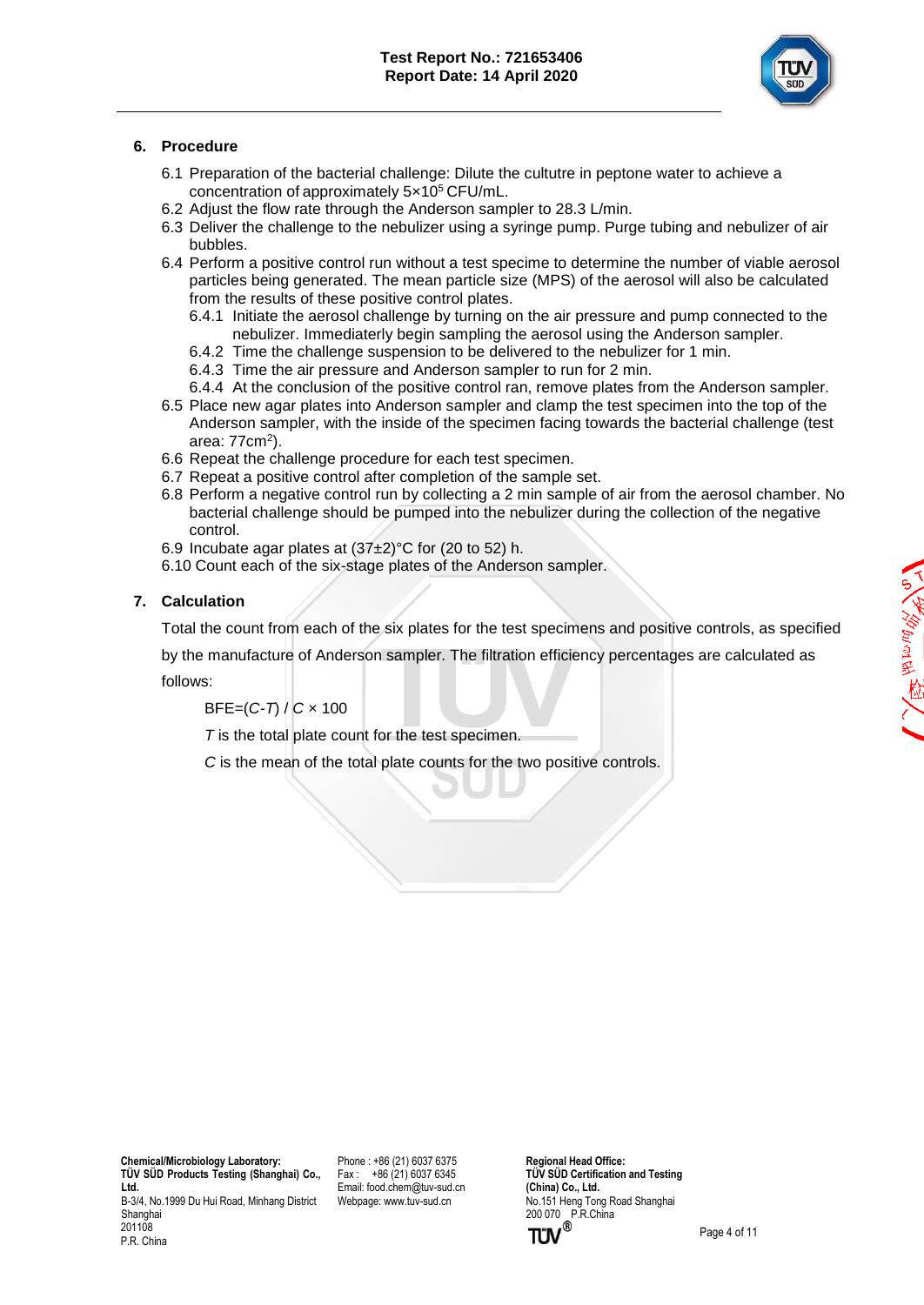

### **6. Procedure**

- 6.1 Preparation of the bacterial challenge: Dilute the cultutre in peptone water to achieve a concentration of approximately 5×10<sup>5</sup> CFU/mL.
- 6.2 Adjust the flow rate through the Anderson sampler to 28.3 L/min.
- 6.3 Deliver the challenge to the nebulizer using a syringe pump. Purge tubing and nebulizer of air bubbles.
- 6.4 Perform a positive control run without a test specime to determine the number of viable aerosol particles being generated. The mean particle size (MPS) of the aerosol will also be calculated from the results of these positive control plates.
	- 6.4.1 Initiate the aerosol challenge by turning on the air pressure and pump connected to the nebulizer. Immediaterly begin sampling the aerosol using the Anderson sampler.
	- 6.4.2 Time the challenge suspension to be delivered to the nebulizer for 1 min.
	- 6.4.3 Time the air pressure and Anderson sampler to run for 2 min.
	- 6.4.4 At the conclusion of the positive control ran, remove plates from the Anderson sampler.
- 6.5 Place new agar plates into Anderson sampler and clamp the test specimen into the top of the Anderson sampler, with the inside of the specimen facing towards the bacterial challenge (test area: 77cm<sup>2</sup>).
- 6.6 Repeat the challenge procedure for each test specimen.
- 6.7 Repeat a positive control after completion of the sample set.
- 6.8 Perform a negative control run by collecting a 2 min sample of air from the aerosol chamber. No bacterial challenge should be pumped into the nebulizer during the collection of the negative control.
- 6.9 Incubate agar plates at  $(37±2)$ °C for (20 to 52) h.
- 6.10 Count each of the six-stage plates of the Anderson sampler.

### **7. Calculation**

Total the count from each of the six plates for the test specimens and positive controls, as specified

by the manufacture of Anderson sampler. The filtration efficiency percentages are calculated as follows:

BFE=(*C-T*) / *C* × 100

*T* is the total plate count for the test specimen.

*C* is the mean of the total plate counts for the two positive controls.

 **Chemical/Microbiology Laboratory: TÜ V SÜ D Products Testing (Shanghai) Co., Ltd.** B-3/4, No.1999 Du Hui Road, Minhang District Shanghai 201108

P.R. China

Phone : +86 (21) 6037 6375 Fax : +86 (21) 6037 6345 Email[: food.chem@tuv-sud.cn](mailto:food.chem@tuv-sud.cn) Webpage[: www.tuv-sud.cn](http://www.tuv-sud.cn/)

**Regional Head Office: TÜV SÜD Certification and Testing (China) Co., Ltd.**  No.151 Heng Tong Road Shanghai 200 070 P.R.China<br> **TÜV**<sup>®</sup>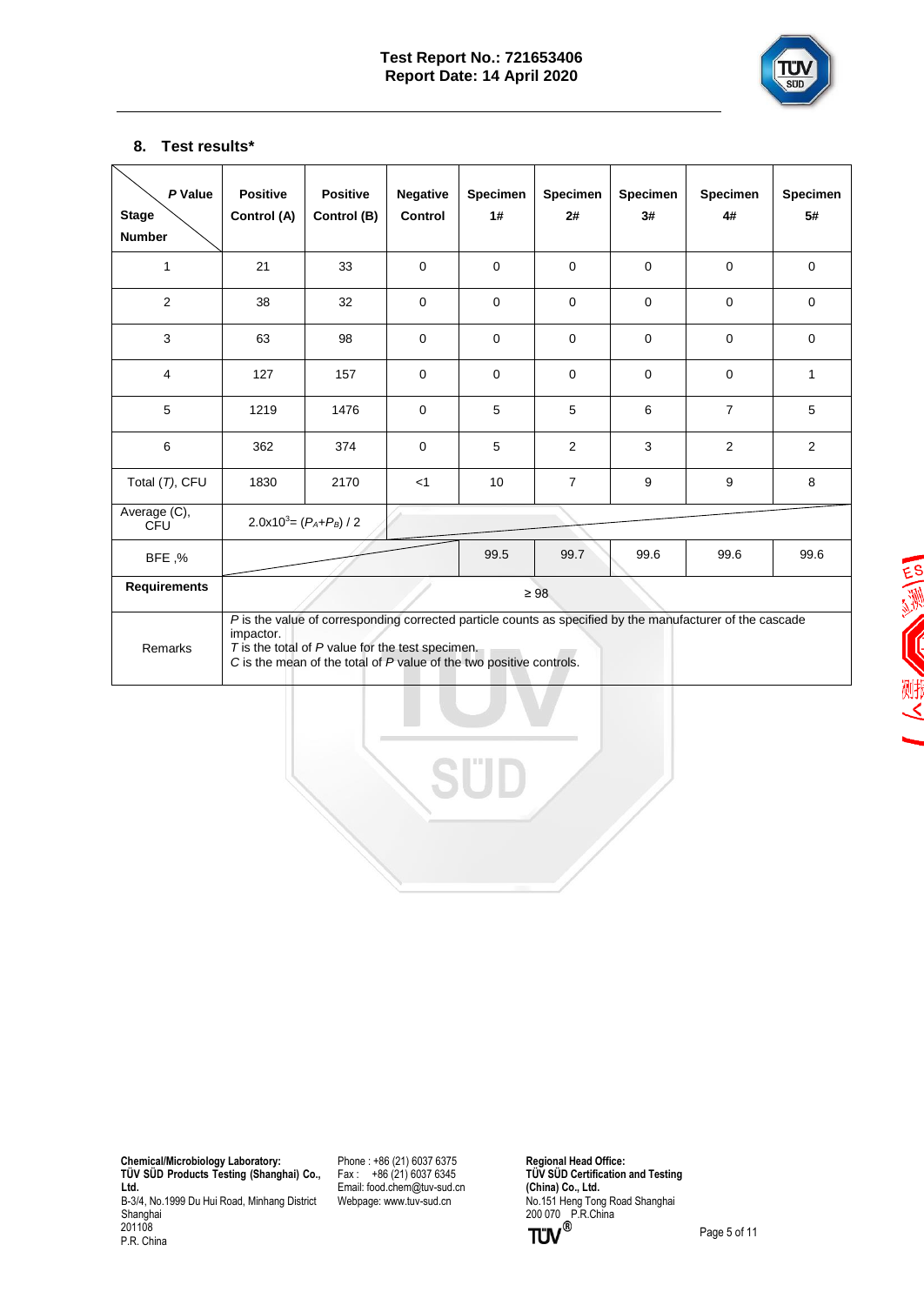

## **8. Test results\***

| P Value<br><b>Stage</b><br><b>Number</b> | <b>Positive</b><br>Control (A)                                                                                                                                                                                                                            | <b>Positive</b><br>Control (B) | <b>Negative</b><br>Control | <b>Specimen</b><br>1# | <b>Specimen</b><br>2# | <b>Specimen</b><br>3# | Specimen<br>4# | Specimen<br>5# |  |
|------------------------------------------|-----------------------------------------------------------------------------------------------------------------------------------------------------------------------------------------------------------------------------------------------------------|--------------------------------|----------------------------|-----------------------|-----------------------|-----------------------|----------------|----------------|--|
| 1                                        | 21                                                                                                                                                                                                                                                        | 33                             | $\Omega$                   | $\Omega$              | $\Omega$              | $\Omega$              | $\Omega$       | $\Omega$       |  |
| 2                                        | 38                                                                                                                                                                                                                                                        | 32                             | $\mathbf 0$                | $\Omega$              | $\Omega$              | $\mathbf 0$           | $\mathbf 0$    | $\mathbf 0$    |  |
| 3                                        | 63                                                                                                                                                                                                                                                        | 98                             | $\mathbf 0$                | $\mathbf 0$           | $\Omega$              | $\mathbf 0$           | $\mathbf 0$    | $\Omega$       |  |
| $\overline{4}$                           | 127                                                                                                                                                                                                                                                       | 157                            | $\mathbf 0$                | $\mathbf 0$           | $\Omega$              | $\mathbf 0$           | $\mathbf 0$    | $\mathbf{1}$   |  |
| 5                                        | 1219                                                                                                                                                                                                                                                      | 1476                           | $\mathbf 0$                | 5                     | 5                     | 6                     | $\overline{7}$ | 5              |  |
| 6                                        | 362                                                                                                                                                                                                                                                       | 374                            | $\mathbf 0$                | 5                     | 2                     | 3                     | 2              | 2              |  |
| Total (T), CFU                           | 1830                                                                                                                                                                                                                                                      | 2170                           | $<$ 1                      | 10                    | $\overline{7}$        | 9                     | 9              | 8              |  |
| Average (C),<br>CFU                      | $2.0x10^3 = (P_A + P_B)/2$                                                                                                                                                                                                                                |                                |                            |                       |                       |                       |                |                |  |
| BFE,%                                    |                                                                                                                                                                                                                                                           |                                |                            | 99.5                  | 99.7                  | 99.6                  | 99.6           | 99.6           |  |
| <b>Requirements</b>                      |                                                                                                                                                                                                                                                           |                                | $\geq 98$                  |                       |                       |                       |                |                |  |
| Remarks                                  | P is the value of corresponding corrected particle counts as specified by the manufacturer of the cascade<br>impactor.<br>$T$ is the total of $P$ value for the test specimen.<br>$C$ is the mean of the total of $P$ value of the two positive controls. |                                |                            |                       |                       |                       |                |                |  |

三、沙 (川)

 **Chemical/Microbiology Laboratory: TÜ V SÜ D Products Testing (Shanghai) Co., Ltd.** B-3/4, No.1999 Du Hui Road, Minhang District Shanghai 201108 P.R. China

Phone : +86 (21) 6037 6375 Fax : +86 (21) 6037 6345 Email[: food.chem@tuv-sud.cn](mailto:food.chem@tuv-sud.cn) Webpage[: www.tuv-sud.cn](http://www.tuv-sud.cn/)

**Regional Head Office: TÜ V SÜ D Certification and Testing (China) Co., Ltd.**  No.151 Heng Tong Road Shanghai 200 070 P.R.China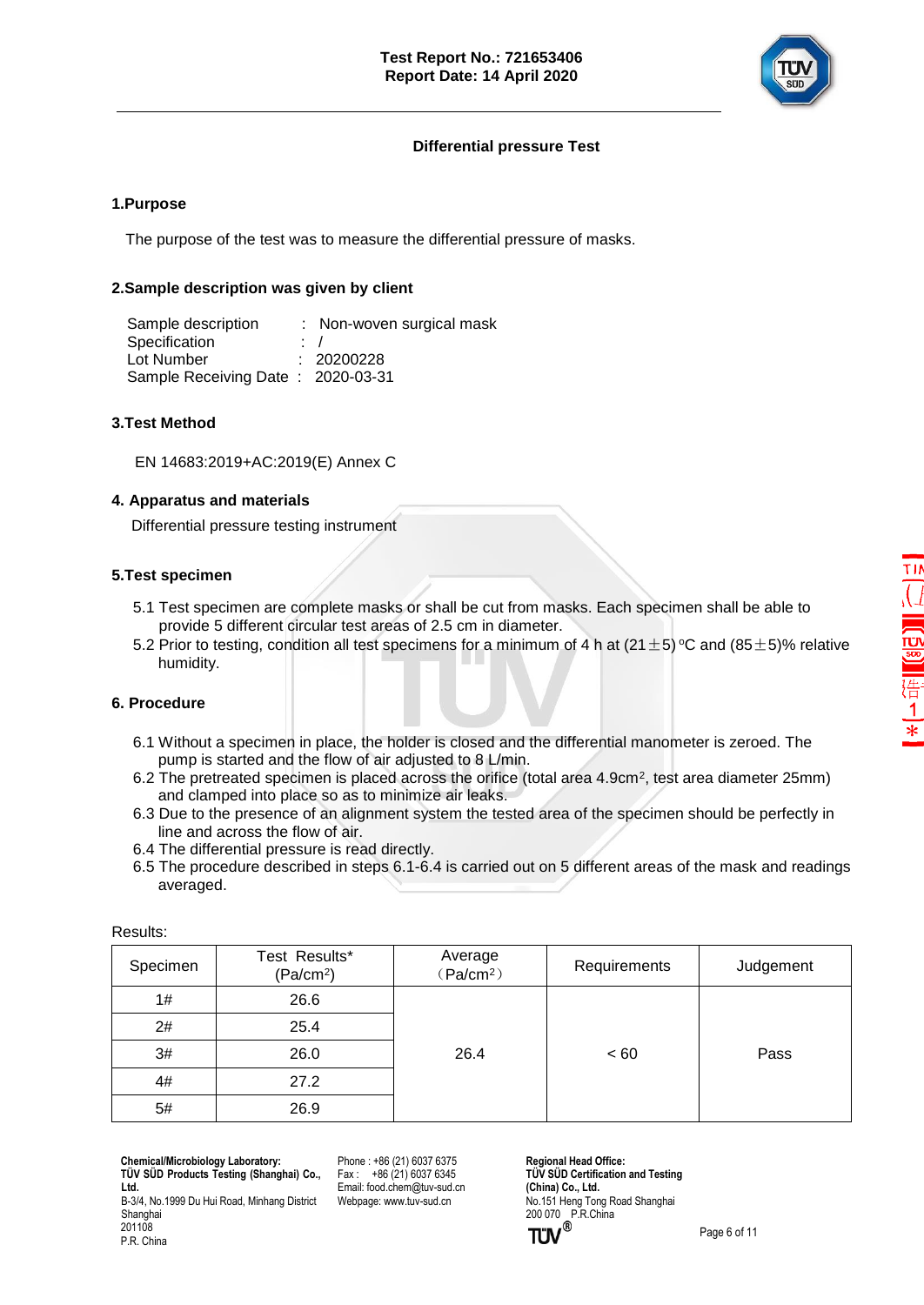

### **Differential pressure Test**

#### **1.Purpose**

The purpose of the test was to measure the differential pressure of masks.

#### **2.Sample description was given by client**

Sample description : Non-woven surgical mask Specification : / Lot Number : 20200228 Sample Receiving Date : 2020-03-31

### **3.Test Method**

EN 14683:2019+AC:2019(E) Annex C

#### **4. Apparatus and materials**

Differential pressure testing instrument

### **5.Test specimen**

- 5.1 Test specimen are complete masks or shall be cut from masks. Each specimen shall be able to provide 5 different circular test areas of 2.5 cm in diameter.
- 5.2 Prior to testing, condition all test specimens for a minimum of 4 h at (21  $\pm$  5) °C and (85  $\pm$  5)% relative humidity.

#### **6. Procedure**

- 6.1 Without a specimen in place, the holder is closed and the differential manometer is zeroed. The pump is started and the flow of air adjusted to 8 L/min.
- 6.2 The pretreated specimen is placed across the orifice (total area 4.9cm<sup>2</sup> , test area diameter 25mm) and clamped into place so as to minimize air leaks.
	- 6.3 Due to the presence of an alignment system the tested area of the specimen should be perfectly in line and across the flow of air.
	- 6.4 The differential pressure is read directly.
	- 6.5 The procedure described in steps 6.1-6.4 is carried out on 5 different areas of the mask and readings averaged.

| Test Results*<br>(Pa/cm <sup>2</sup> ) | Average<br>(Pa/cm <sup>2</sup> ) | Requirements | Judgement |  |  |  |
|----------------------------------------|----------------------------------|--------------|-----------|--|--|--|
| 26.6                                   |                                  |              |           |  |  |  |
| 25.4                                   |                                  | ~< 60        | Pass      |  |  |  |
| 26.0                                   | 26.4                             |              |           |  |  |  |
| 27.2                                   |                                  |              |           |  |  |  |
| 26.9                                   |                                  |              |           |  |  |  |
|                                        |                                  |              |           |  |  |  |

Results:

P.R. China

 **Chemical/Microbiology Laboratory: TÜ V SÜ D Products Testing (Shanghai) Co., Ltd.**

B-3/4, No.1999 Du Hui Road, Minhang District Shanghai 201108

Phone : +86 (21) 6037 6375 Fax : +86 (21) 6037 6345 Email[: food.chem@tuv-sud.cn](mailto:food.chem@tuv-sud.cn) Webpage[: www.tuv-sud.cn](http://www.tuv-sud.cn/)

**Regional Head Office: TÜV SÜD Certification and Testing (China) Co., Ltd.**  No.151 Heng Tong Road Shanghai 200 070 P.R.China<br>TUV<sup>®</sup>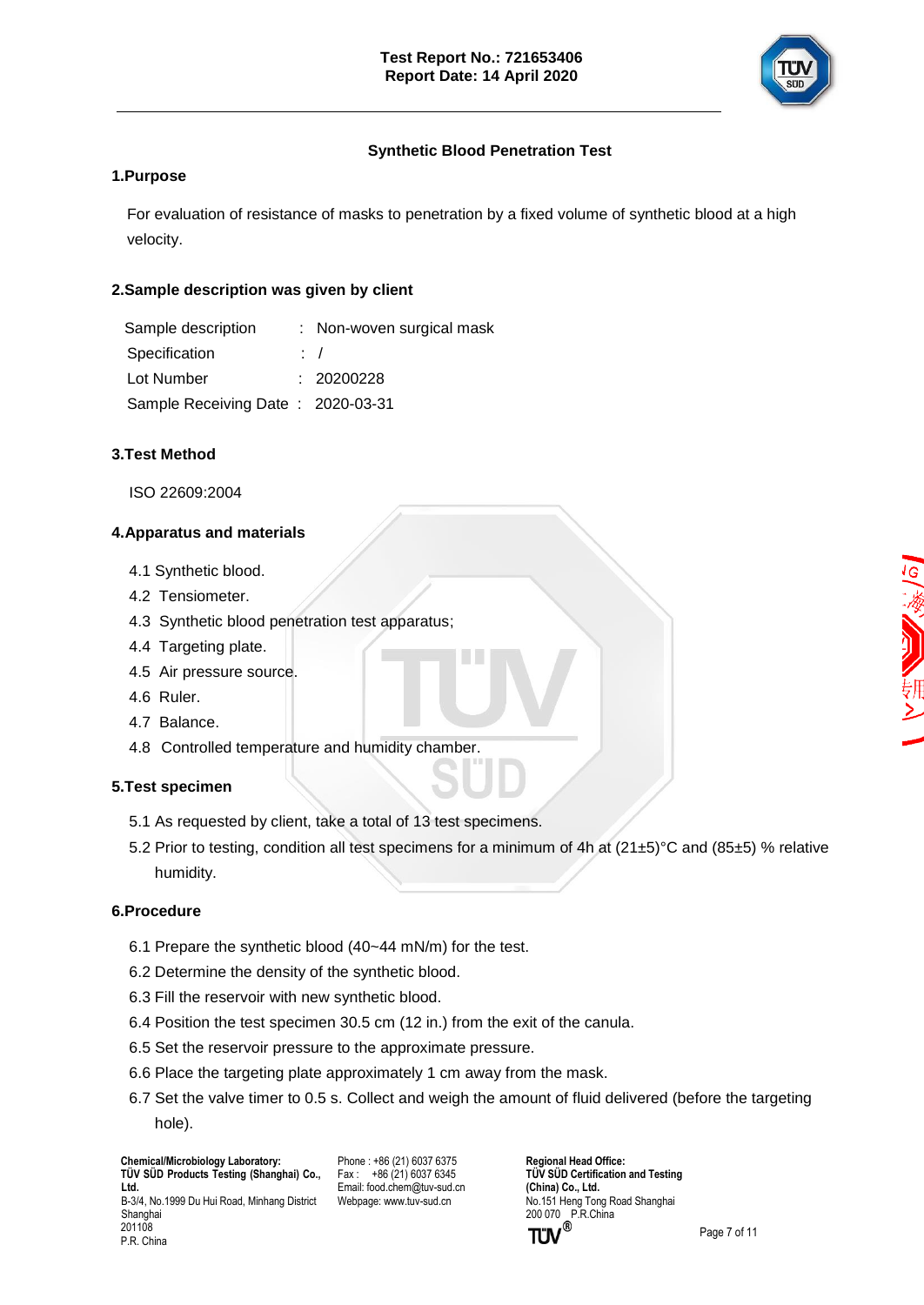

## **Synthetic Blood Penetration Test**

### **1.Purpose**

For evaluation of resistance of masks to penetration by a fixed volume of synthetic blood at a high velocity.

### **2.Sample description was given by client**

| Sample description                | : Non-woven surgical mask |
|-----------------------------------|---------------------------|
| Specification                     | $\therefore$              |
| Lot Number                        | : 20200228                |
| Sample Receiving Date: 2020-03-31 |                           |

### **3.Test Method**

ISO 22609:2004

### **4.Apparatus and materials**

- 4.1 Synthetic blood.
- 4.2 Tensiometer.
- 4.3 Synthetic blood penetration test apparatus;
- 4.4 Targeting plate.
- 4.5 Air pressure source.
- 4.6 Ruler.
- 4.7 Balance.
- 4.8 Controlled temperature and humidity chamber.

### **5.Test specimen**

- 5.1 As requested by client, take a total of 13 test specimens.
- 5.2 Prior to testing, condition all test specimens for a minimum of 4h at (21±5)°C and (85±5) % relative humidity.

### **6.Procedure**

P.R. China

- 6.1 Prepare the synthetic blood (40~44 mN/m) for the test.
- 6.2 Determine the density of the synthetic blood.
- 6.3 Fill the reservoir with new synthetic blood.
- 6.4 Position the test specimen 30.5 cm (12 in.) from the exit of the canula.
- 6.5 Set the reservoir pressure to the approximate pressure.
- 6.6 Place the targeting plate approximately 1 cm away from the mask.
- 6.7 Set the valve timer to 0.5 s. Collect and weigh the amount of fluid delivered (before the targeting hole).

 **Chemical/Microbiology Laboratory: TÜ V SÜ D Products Testing (Shanghai) Co., Ltd.** B-3/4, No.1999 Du Hui Road, Minhang District Shanghai 201108

Phone : +86 (21) 6037 6375  $Fax : +86(21)60376345$ Email[: food.chem@tuv-sud.cn](mailto:food.chem@tuv-sud.cn) Webpage[: www.tuv-sud.cn](http://www.tuv-sud.cn/)

**Regional Head Office: TÜV SÜD Certification and Testing (China) Co., Ltd.**  No.151 Heng Tong Road Shanghai 200 070 P.R.China<br> **TÜV**<sup>®</sup>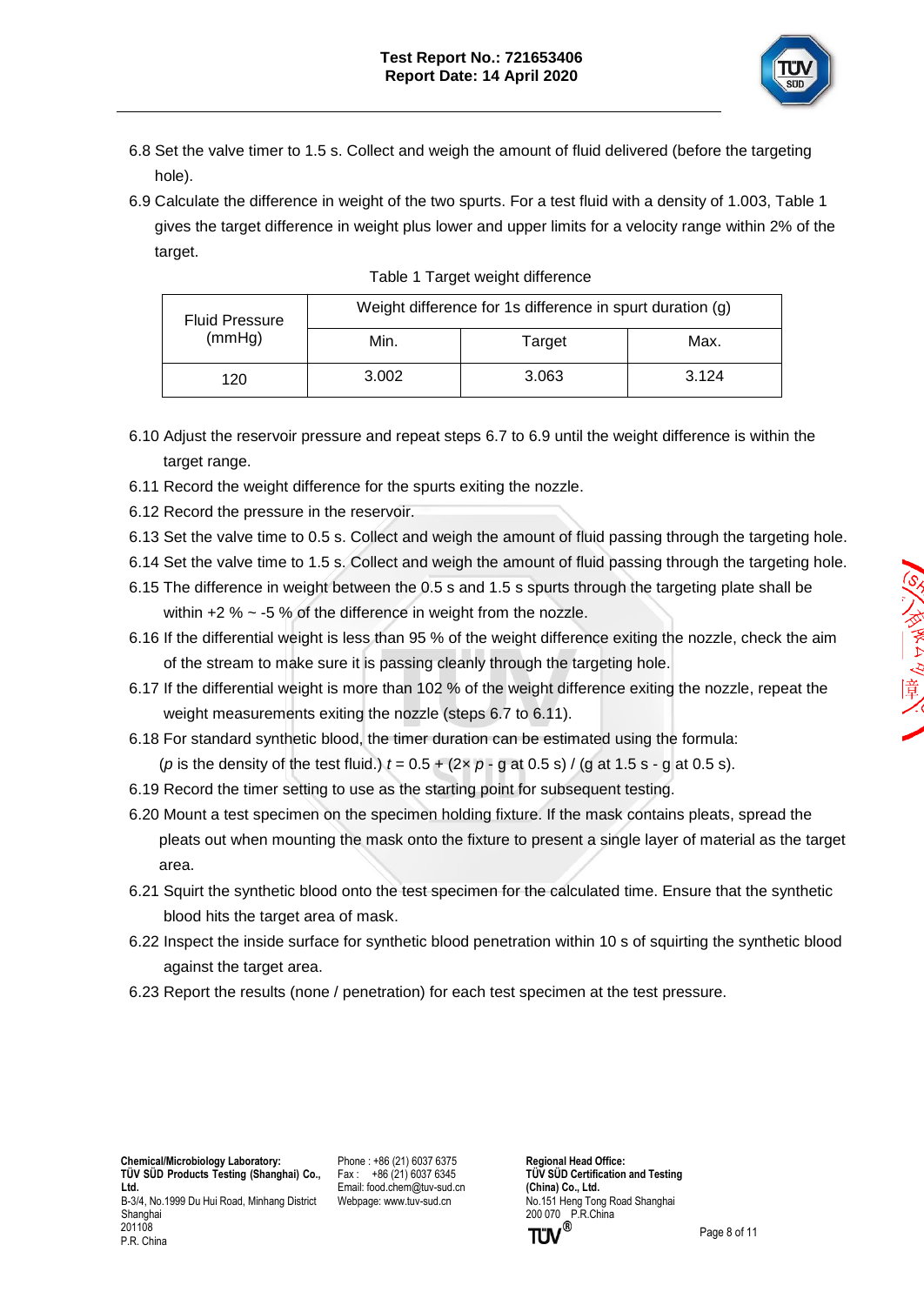

- 6.8 Set the valve timer to 1.5 s. Collect and weigh the amount of fluid delivered (before the targeting hole).
- 6.9 Calculate the difference in weight of the two spurts. For a test fluid with a density of 1.003, Table 1 gives the target difference in weight plus lower and upper limits for a velocity range within 2% of the target.

| <b>Fluid Pressure</b><br>(mmHg) | Weight difference for 1s difference in spurt duration (g) |        |       |  |  |
|---------------------------------|-----------------------------------------------------------|--------|-------|--|--|
|                                 | Min.                                                      | Target | Max.  |  |  |
| 120                             | 3.002                                                     | 3.063  | 3.124 |  |  |

| Table 1 Target weight difference |  |
|----------------------------------|--|
|                                  |  |

- 6.10 Adjust the reservoir pressure and repeat steps 6.7 to 6.9 until the weight difference is within the target range.
- 6.11 Record the weight difference for the spurts exiting the nozzle.
- 6.12 Record the pressure in the reservoir.
- 6.13 Set the valve time to 0.5 s. Collect and weigh the amount of fluid passing through the targeting hole.
- 6.14 Set the valve time to 1.5 s. Collect and weigh the amount of fluid passing through the targeting hole.
- 6.15 The difference in weight between the 0.5 s and 1.5 s spurts through the targeting plate shall be within  $+2$  %  $\sim$  -5 % of the difference in weight from the nozzle.
- 6.16 If the differential weight is less than 95 % of the weight difference exiting the nozzle, check the aim of the stream to make sure it is passing cleanly through the targeting hole.
- 6.17 If the differential weight is more than 102 % of the weight difference exiting the nozzle, repeat the weight measurements exiting the nozzle (steps 6.7 to 6.11).
- 6.18 For standard synthetic blood, the timer duration can be estimated using the formula: (*p* is the density of the test fluid.)  $t = 0.5 + (2 \times p - q \text{ at } 0.5 \text{ s}) / (q \text{ at } 1.5 \text{ s} - q \text{ at } 0.5 \text{ s}).$
- 6.19 Record the timer setting to use as the starting point for subsequent testing.
- 6.20 Mount a test specimen on the specimen holding fixture. If the mask contains pleats, spread the pleats out when mounting the mask onto the fixture to present a single layer of material as the target area.
- 6.21 Squirt the synthetic blood onto the test specimen for the calculated time. Ensure that the synthetic blood hits the target area of mask.
- 6.22 Inspect the inside surface for synthetic blood penetration within 10 s of squirting the synthetic blood against the target area.
- 6.23 Report the results (none / penetration) for each test specimen at the test pressure.

 **Chemical/Microbiology Laboratory: TÜ V SÜ D Products Testing (Shanghai) Co., Ltd.** B-3/4, No.1999 Du Hui Road, Minhang District Shanghai 201108 P.R. China

Phone : +86 (21) 6037 6375 Fax : +86 (21) 6037 6345 Email[: food.chem@tuv-sud.cn](mailto:food.chem@tuv-sud.cn) Webpage[: www.tuv-sud.cn](http://www.tuv-sud.cn/)

**Regional Head Office: TÜV SÜD Certification and Testing (China) Co., Ltd.**  No.151 Heng Tong Road Shanghai 200 070 P.R.China<br> **TÜV**<sup>®</sup>

Page 8 of 11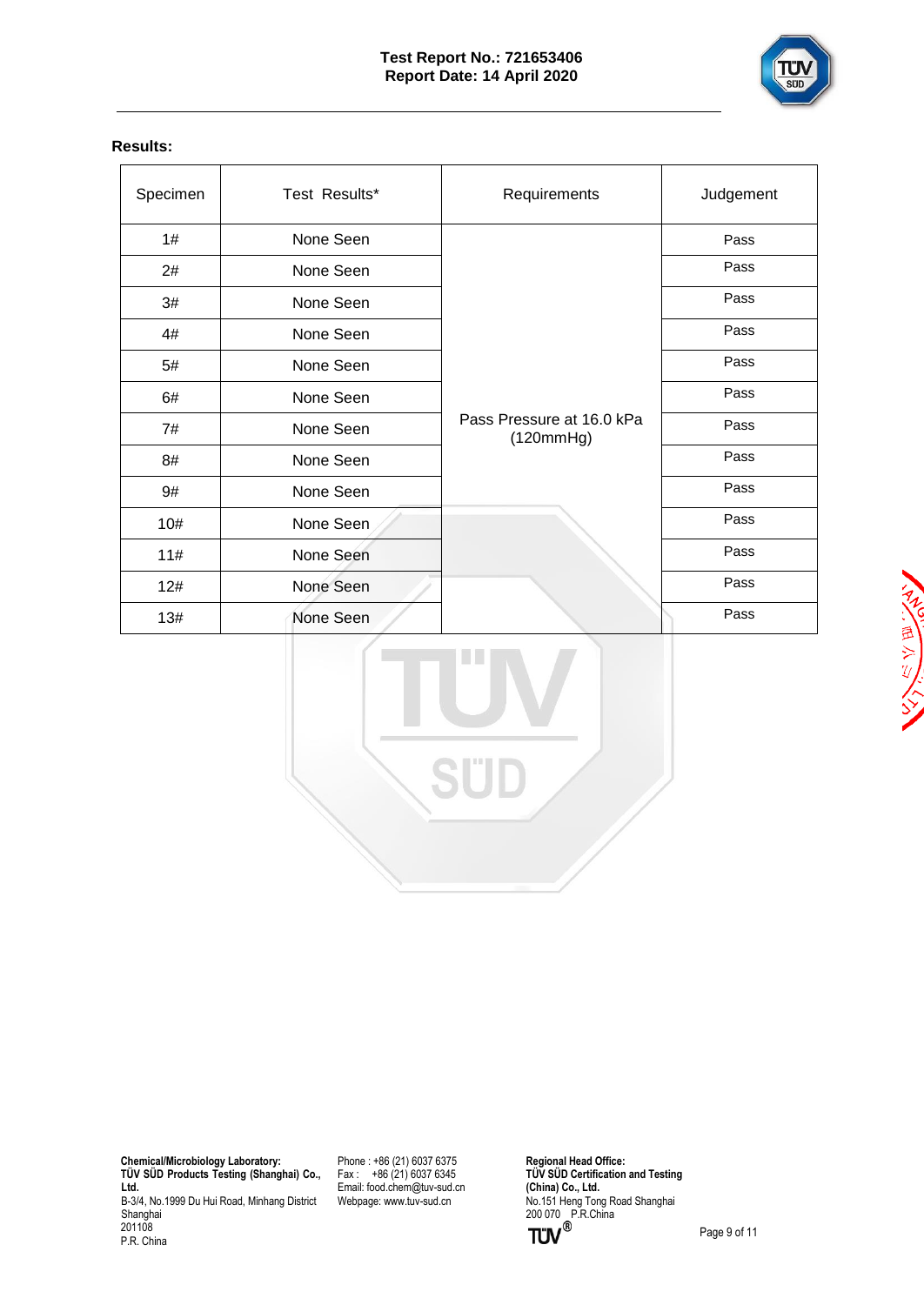

## **Results:**

| Specimen | Test Results* | Requirements                           | Judgement |
|----------|---------------|----------------------------------------|-----------|
| 1#       | None Seen     |                                        | Pass      |
| 2#       | None Seen     |                                        | Pass      |
| 3#       | None Seen     |                                        | Pass      |
| 4#       | None Seen     |                                        | Pass      |
| 5#       | None Seen     |                                        | Pass      |
| 6#       | None Seen     |                                        | Pass      |
| 7#       | None Seen     | Pass Pressure at 16.0 kPa<br>(120mmHg) | Pass      |
| 8#       | None Seen     |                                        | Pass      |
| 9#       | None Seen     |                                        | Pass      |
| 10#      | None Seen     |                                        | Pass      |
| 11#      | None Seen     |                                        | Pass      |
| 12#      | None Seen     |                                        | Pass      |
| 13#      | None Seen     |                                        | Pass      |

NAVEL YER

 **Chemical/Microbiology Laboratory: TÜ V SÜ D Products Testing (Shanghai) Co., Ltd.** B-3/4, No.1999 Du Hui Road, Minhang District Shanghai 201108 P.R. China

Phone : +86 (21) 6037 6375 Fax : +86 (21) 6037 6345 Email[: food.chem@tuv-sud.cn](mailto:food.chem@tuv-sud.cn) Webpage[: www.tuv-sud.cn](http://www.tuv-sud.cn/)

**Regional Head Office: TÜ V SÜ D Certification and Testing (China) Co., Ltd.**  No.151 Heng Tong Road Shanghai 200 070 P.R.China

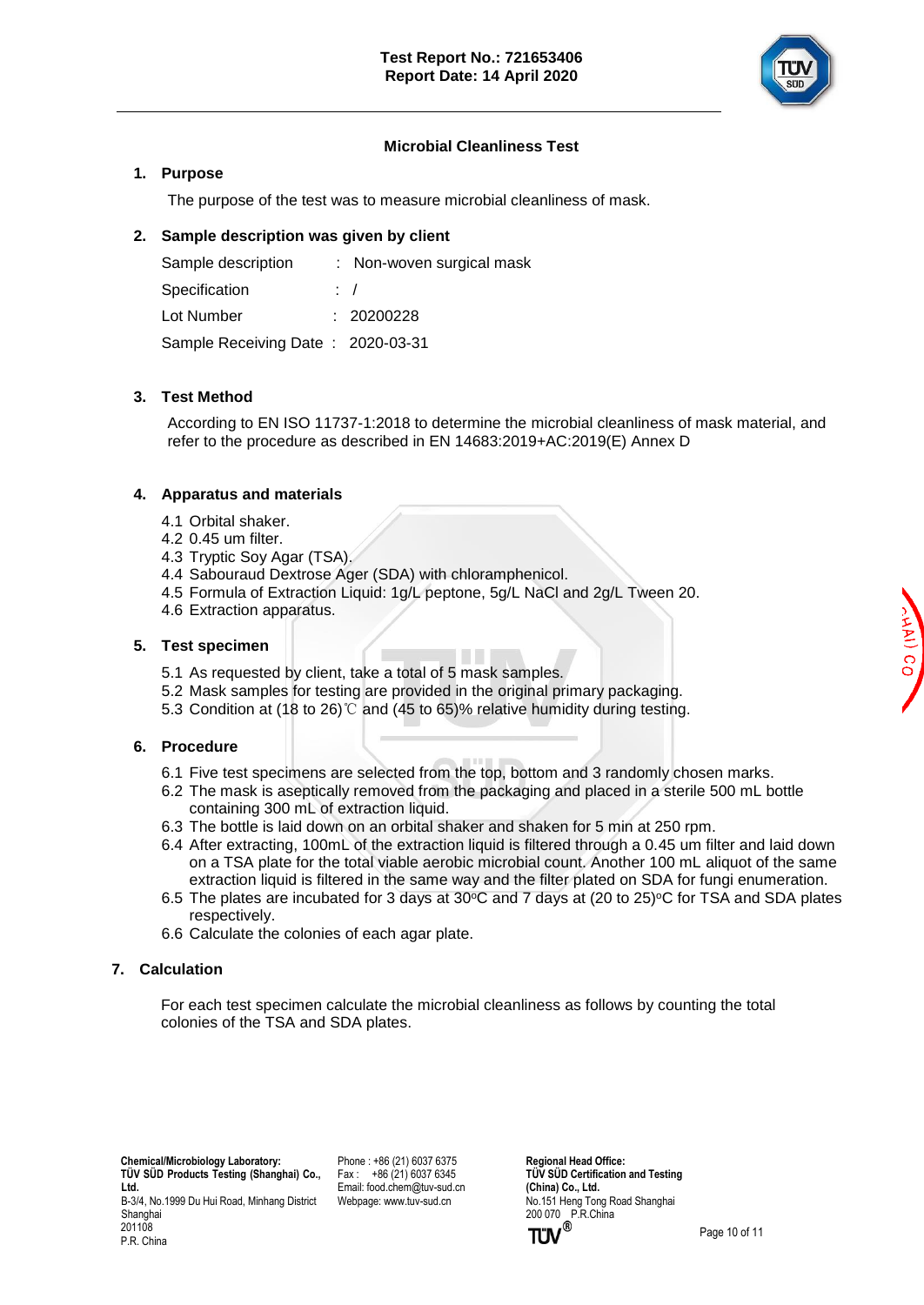

### **Microbial Cleanliness Test**

### **1. Purpose**

The purpose of the test was to measure microbial cleanliness of mask.

### **2. Sample description was given by client**

| Sample description                | : Non-woven surgical mask |
|-----------------------------------|---------------------------|
| Specification                     | $\cdot$ /                 |
| Lot Number                        | : 20200228                |
| Sample Receiving Date: 2020-03-31 |                           |

### **3. Test Method**

According to EN ISO 11737-1:2018 to determine the microbial cleanliness of mask material, and refer to the procedure as described in EN 14683:2019+AC:2019(E) Annex D

### **4. Apparatus and materials**

- 4.1 Orbital shaker.
- 4.2 0.45 um filter.
- 4.3 Tryptic Soy Agar (TSA).
- 4.4 Sabouraud Dextrose Ager (SDA) with chloramphenicol.
- 4.5 Formula of Extraction Liquid: 1g/L peptone, 5g/L NaCl and 2g/L Tween 20.
- 4.6 Extraction apparatus.

### **5. Test specimen**

- 5.1 As requested by client, take a total of 5 mask samples.
- 5.2 Mask samples for testing are provided in the original primary packaging.
- 5.3 Condition at (18 to 26)℃ and (45 to 65)% relative humidity during testing.

### **6. Procedure**

- 6.1 Five test specimens are selected from the top, bottom and 3 randomly chosen marks.
- 6.2 The mask is aseptically removed from the packaging and placed in a sterile 500 mL bottle containing 300 mL of extraction liquid.
- 6.3 The bottle is laid down on an orbital shaker and shaken for 5 min at 250 rpm.
- 6.4 After extracting, 100mL of the extraction liquid is filtered through a 0.45 um filter and laid down on a TSA plate for the total viable aerobic microbial count. Another 100 mL aliquot of the same extraction liquid is filtered in the same way and the filter plated on SDA for fungi enumeration.
- 6.5 The plates are incubated for 3 days at 30 $\degree$ C and 7 days at (20 to 25) $\degree$ C for TSA and SDA plates respectively.
- 6.6 Calculate the colonies of each agar plate.

### **7. Calculation**

 For each test specimen calculate the microbial cleanliness as follows by counting the total colonies of the TSA and SDA plates.

Phone : +86 (21) 6037 6375  $Fax : +86(21)60376345$ Email[: food.chem@tuv-sud.cn](mailto:food.chem@tuv-sud.cn) Webpage[: www.tuv-sud.cn](http://www.tuv-sud.cn/)

**Regional Head Office: TÜV SÜD Certification and Testing (China) Co., Ltd.**  No.151 Heng Tong Road Shanghai 200 070 P.R.China<br> **TÜV**<sup>®</sup>